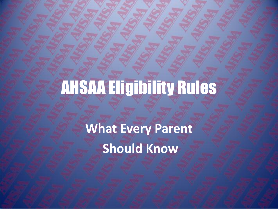**What Every Parent Should Know**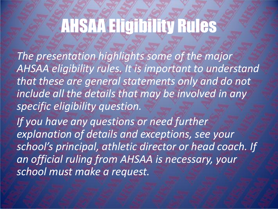*The presentation highlights some of the major AHSAA eligibility rules. It is important to understand that these are general statements only and do not include all the details that may be involved in any specific eligibility question.* 

*If you have any questions or need further explanation of details and exceptions, see your school's principal, athletic director or head coach. If an official ruling from AHSAA is necessary, your school must make a request.*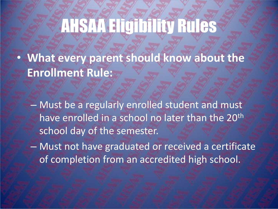• **What every parent should know about the Enrollment Rule:**

– Must be a regularly enrolled student and must have enrolled in a school no later than the 20<sup>th</sup> school day of the semester.

– Must not have graduated or received a certificate of completion from an accredited high school.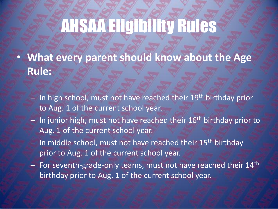- **What every parent should know about the Age Rule:**
	- In high school, must not have reached their 19th birthday prior to Aug. 1 of the current school year.
	- $-$  In junior high, must not have reached their 16<sup>th</sup> birthday prior to Aug. 1 of the current school year.
	- $-$  In middle school, must not have reached their 15<sup>th</sup> birthday prior to Aug. 1 of the current school year.
	- $-$  For seventh-grade-only teams, must not have reached their  $14<sup>th</sup>$ birthday prior to Aug. 1 of the current school year.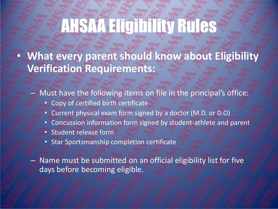• **What every parent should know about Eligibility Verification Requirements:**

– Must have the following items on file in the principal's office:

- Copy of certified birth certificate
- Current physical exam form signed by a doctor (M.D. or D.O)
- Concussion information form signed by student-athlete and parent
- Student release form
- Star Sportsmanship completion certificate

– Name must be submitted on an official eligibility list for five days before becoming eligible.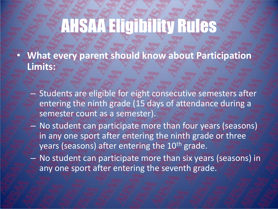- **What every parent should know about Participation Limits:**
	- Students are eligible for eight consecutive semesters after entering the ninth grade (15 days of attendance during a semester count as a semester).
	- No student can participate more than four years (seasons) in any one sport after entering the ninth grade or three years (seasons) after entering the 10<sup>th</sup> grade.
	- No student can participate more than six years (seasons) in any one sport after entering the seventh grade.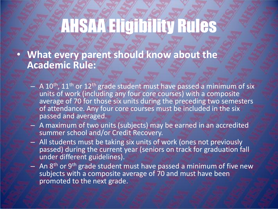• **What every parent should know about the Academic Rule:**

- $-$  A 10<sup>th</sup>, 11<sup>th</sup> or 12<sup>th</sup> grade student must have passed a minimum of six units of work (including any four core courses) with a composite average of 70 for those six units during the preceding two semesters of attendance. Any four core courses must be included in the six passed and averaged.
- A maximum of two units (subjects) may be earned in an accredited summer school and/or Credit Recovery.
- All students must be taking six units of work (ones not previously passed) during the current year (seniors on track for graduation fall under different guidelines).
- An 8<sup>th</sup> or 9<sup>th</sup> grade student must have passed a minimum of five new subjects with a composite average of 70 and must have been promoted to the next grade.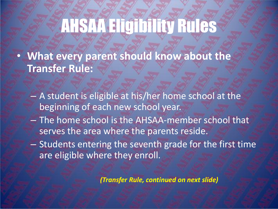- **What every parent should know about the Transfer Rule:**
	- A student is eligible at his/her home school at the beginning of each new school year.
	- The home school is the AHSAA-member school that serves the area where the parents reside.
	- Students entering the seventh grade for the first time are eligible where they enroll.

*(Transfer Rule, continued on next slide)*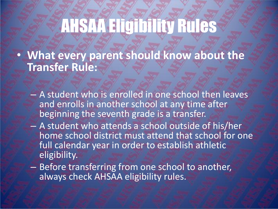• **What every parent should know about the Transfer Rule:**

- A student who is enrolled in one school then leaves and enrolls in another school at any time after beginning the seventh grade is a transfer.
- A student who attends a school outside of his/her home school district must attend that school for one full calendar year in order to establish athletic eligibility.
- Before transferring from one school to another, always check AHSAA eligibility rules.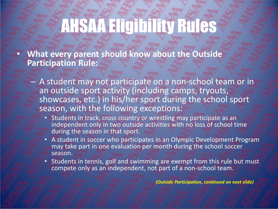• **What every parent should know about the Outside Participation Rule:**

- A student may not participate on a non-school team or in an outside sport activity (including camps, tryouts, showcases, etc.) in his/her sport during the school sport season, with the following exceptions:
	- Students in track, cross country or wrestling may participate as an independent only in two outside activities with no loss of school time during the season in that sport.
	- A student in soccer who participates in an Olympic Development Program may take part in one evaluation per month during the school soccer season.
	- Students in tennis, golf and swimming are exempt from this rule but must compete only as an independent, not part of a non-school team.

*(Outside Participation, continued on next slide)*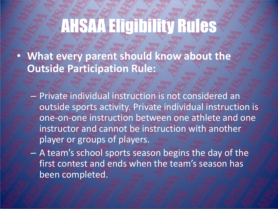• **What every parent should know about the Outside Participation Rule:**

– Private individual instruction is not considered an outside sports activity. Private individual instruction is one-on-one instruction between one athlete and one instructor and cannot be instruction with another player or groups of players.

– A team's school sports season begins the day of the first contest and ends when the team's season has been completed.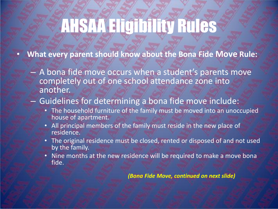• **What every parent should know about the Bona Fide Move Rule:**

– A bona fide move occurs when a student's parents move completely out of one school attendance zone into another.

#### – Guidelines for determining a bona fide move include:

- The household furniture of the family must be moved into an unoccupied house of apartment.
- All principal members of the family must reside in the new place of residence.
- The original residence must be closed, rented or disposed of and not used by the family.
- Nine months at the new residence will be required to make a move bona fide.

*(Bona Fide Move, continued on next slide)*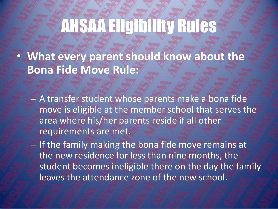• **What every parent should know about the Bona Fide Move Rule:**

- A transfer student whose parents make a bona fide move is eligible at the member school that serves the area where his/her parents reside if all other requirements are met.
- If the family making the bona fide move remains at the new residence for less than nine months, the student becomes ineligible there on the day the family leaves the attendance zone of the new school.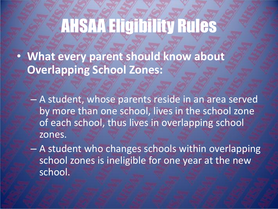• **What every parent should know about Overlapping School Zones:**

– A student, whose parents reside in an area served by more than one school, lives in the school zone of each school, thus lives in overlapping school zones.

– A student who changes schools within overlapping school zones is ineligible for one year at the new school.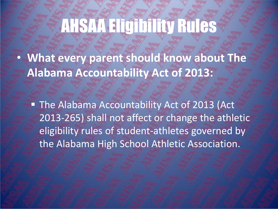• **What every parent should know about The Alabama Accountability Act of 2013:**

**The Alabama Accountability Act of 2013 (Act** 2013-265) shall not affect or change the athletic eligibility rules of student-athletes governed by the Alabama High School Athletic Association.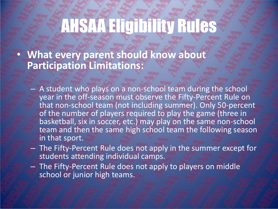• **What every parent should know about Participation Limitations:**

- A student who plays on a non-school team during the school year in the off-season must observe the Fifty-Percent Rule on that non-school team (not including summer). Only 50-percent of the number of players required to play the game (three in basketball, six in soccer, etc.) may play on the same non-school team and then the same high school team the following season in that sport.
- The Fifty-Percent Rule does not apply in the summer except for students attending individual camps.
- The Fifty-Percent Rule does not apply to players on middle school or junior high teams.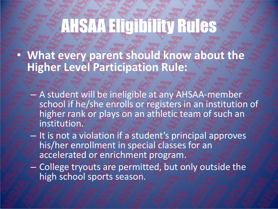• **What every parent should know about the Higher Level Participation Rule:**

- A student will be ineligible at any AHSAA-member school if he/she enrolls or registers in an institution of higher rank or plays on an athletic team of such an institution.
- It is not a violation if a student's principal approves his/her enrollment in special classes for an accelerated or enrichment program.
- College tryouts are permitted, but only outside the high school sports season.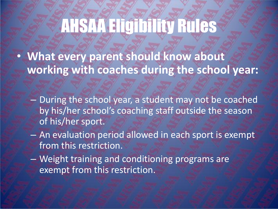- **What every parent should know about working with coaches during the school year:**
	- During the school year, a student may not be coached by his/her school's coaching staff outside the season of his/her sport.
	- An evaluation period allowed in each sport is exempt from this restriction.
	- Weight training and conditioning programs are exempt from this restriction.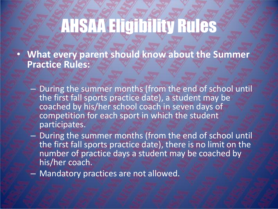• **What every parent should know about the Summer Practice Rules:**

- During the summer months (from the end of school until the first fall sports practice date), a student may be coached by his/her school coach in seven days of competition for each sport in which the student participates.
- During the summer months (from the end of school until the first fall sports practice date), there is no limit on the number of practice days a student may be coached by his/her coach.
- Mandatory practices are not allowed.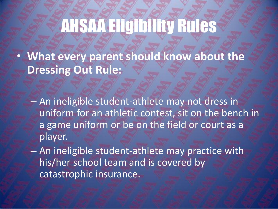• **What every parent should know about the Dressing Out Rule:**

– An ineligible student-athlete may not dress in uniform for an athletic contest, sit on the bench in a game uniform or be on the field or court as a player.

– An ineligible student-athlete may practice with his/her school team and is covered by catastrophic insurance.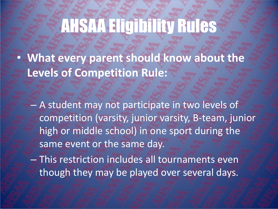• **What every parent should know about the Levels of Competition Rule:**

– A student may not participate in two levels of competition (varsity, junior varsity, B-team, junior high or middle school) in one sport during the same event or the same day.

– This restriction includes all tournaments even though they may be played over several days.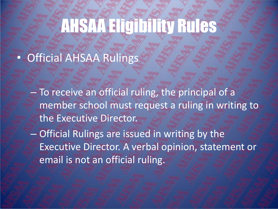#### • Official AHSAA Rulings

- To receive an official ruling, the principal of a member school must request a ruling in writing to the Executive Director.
- Official Rulings are issued in writing by the Executive Director. A verbal opinion, statement or email is not an official ruling.